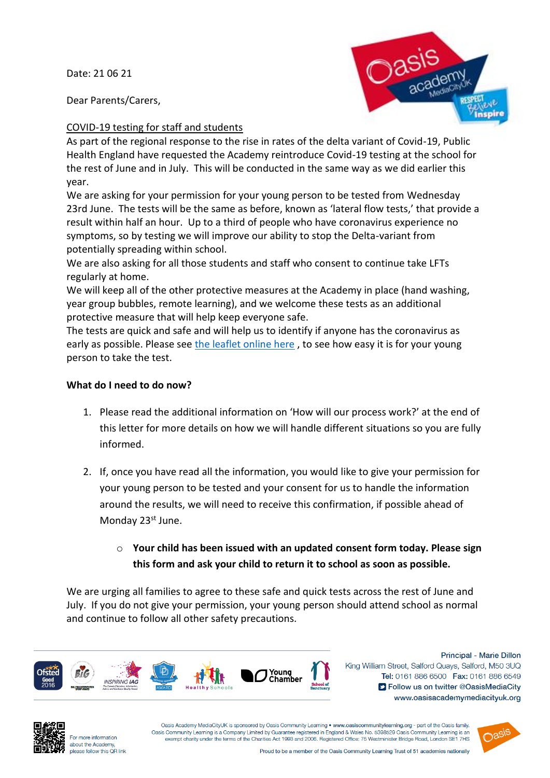Date: 21 06 21

Dear Parents/Carers,



# COVID-19 testing for staff and students

As part of the regional response to the rise in rates of the delta variant of Covid-19, Public Health England have requested the Academy reintroduce Covid-19 testing at the school for the rest of June and in July. This will be conducted in the same way as we did earlier this year.

We are asking for your permission for your young person to be tested from Wednesday 23rd June. The tests will be the same as before, known as 'lateral flow tests,' that provide a result within half an hour. Up to a third of people who have coronavirus experience no symptoms, so by testing we will improve our ability to stop the Delta-variant from potentially spreading within school.

We are also asking for all those students and staff who consent to continue take LFTs regularly at home.

We will keep all of the other protective measures at the Academy in place (hand washing, year group bubbles, remote learning), and we welcome these tests as an additional protective measure that will help keep everyone safe.

The tests are quick and safe and will help us to identify if anyone has the coronavirus as early as possible. Please see [the leaflet online here](https://assets.publishing.service.gov.uk/government/uploads/system/uploads/attachment_data/file/946612/How_to_do_your_test_COVID_19_instruction_leaflet_for_schools.pdf) , to see how easy it is for your young person to take the test.

# **What do I need to do now?**

- 1. Please read the additional information on 'How will our process work?' at the end of this letter for more details on how we will handle different situations so you are fully informed.
- 2. If, once you have read all the information, you would like to give your permission for your young person to be tested and your consent for us to handle the information around the results, we will need to receive this confirmation, if possible ahead of Monday 23<sup>st</sup> June.
	- o **Your child has been issued with an updated consent form today. Please sign this form and ask your child to return it to school as soon as possible.**

We are urging all families to agree to these safe and quick tests across the rest of June and July. If you do not give your permission, your young person should attend school as normal and continue to follow all other safety precautions.



Principal - Marie Dillon King William Street, Salford Quays, Salford, M50 3UQ Tel: 0161 886 6500 Fax: 0161 886 6549 S Follow us on twitter @OasisMediaCity www.oasisacademymediacityuk.org



For more information about the Academy, please follow this OR link

Oasis Academy MediaCityUK is sponsored by Oasis Community Learning • www.oasiscommunitylearning.org - part of the Oasis family Oasis Community Learning is a Company Limited by Guarantee registered in England & Wales No. 5398529 Oasis Community Learning is an exempt charity under the terms of the Charities Act 1993 and 2006. Registered Office: 75 Westminister Bridge Road, London SE1 7HS

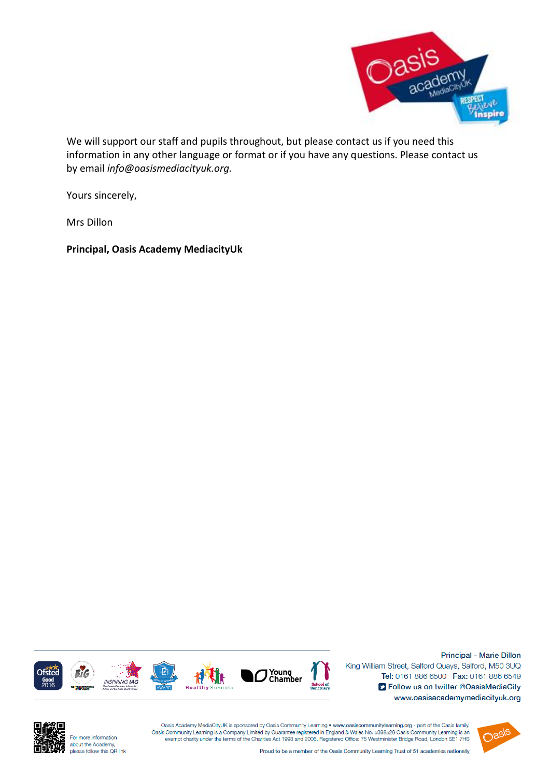

We will support our staff and pupils throughout, but please contact us if you need this information in any other language or format or if you have any questions. Please contact us by email *info@oasismediacityuk.org.*

Yours sincerely,

Mrs Dillon

**Principal, Oasis Academy MediacityUk**



Principal - Marie Dillon King William Street, Salford Quays, Salford, M50 3UQ Tel: 0161 886 6500 Fax: 0161 886 6549 S Follow us on twitter @OasisMediaCity www.oasisacademymediacityuk.org



For more information about the Academy,<br>please follow this QR link

Oasis Academy MediaCityUK is sponsored by Oasis Community Learning . www.oasiscommunitylearning.org - part of the Oasis family. Oasis Community Learning is a Company Limited by Guarantee registered in England & Wales No. 5398529 Oasis Community Learning is an exempt charity under the terms of the Charities Act 1993 and 2006. Registered Office: 75 Westminister Bridge Road, London SE1 7HS